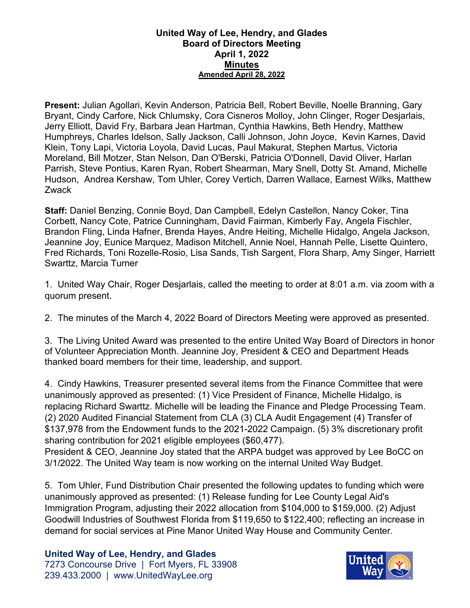## **United Way of Lee, Hendry, and Glades Board of Directors Meeting April 1, 2022 Minutes Amended April 28, 2022**

**Present:** Julian Agollari, Kevin Anderson, Patricia Bell, Robert Beville, Noelle Branning, Gary Bryant, Cindy Carfore, Nick Chlumsky, Cora Cisneros Molloy, John Clinger, Roger Desjarlais, Jerry Elliott, David Fry, Barbara Jean Hartman, Cynthia Hawkins, Beth Hendry, Matthew Humphreys, Charles Idelson, Sally Jackson, Calli Johnson, John Joyce, Kevin Karnes, David Klein, Tony Lapi, Victoria Loyola, David Lucas, Paul Makurat, Stephen Martus, Victoria Moreland, Bill Motzer, Stan Nelson, Dan O'Berski, Patricia O'Donnell, David Oliver, Harlan Parrish, Steve Pontius, Karen Ryan, Robert Shearman, Mary Snell, Dotty St. Amand, Michelle Hudson, Andrea Kershaw, Tom Uhler, Corey Vertich, Darren Wallace, Earnest Wilks, Matthew Zwack

**Staff:** Daniel Benzing, Connie Boyd, Dan Campbell, Edelyn Castellon, Nancy Coker, Tina Corbett, Nancy Cote, Patrice Cunningham, David Fairman, Kimberly Fay, Angela Fischler, Brandon Fling, Linda Hafner, Brenda Hayes, Andre Heiting, Michelle Hidalgo, Angela Jackson, Jeannine Joy, Eunice Marquez, Madison Mitchell, Annie Noel, Hannah Pelle, Lisette Quintero, Fred Richards, Toni Rozelle-Rosio, Lisa Sands, Tish Sargent, Flora Sharp, Amy Singer, Harriett Swarttz, Marcia Turner

1. United Way Chair, Roger Desjarlais, called the meeting to order at 8:01 a.m. via zoom with a quorum present.

2. The minutes of the March 4, 2022 Board of Directors Meeting were approved as presented.

3. The Living United Award was presented to the entire United Way Board of Directors in honor of Volunteer Appreciation Month. Jeannine Joy, President & CEO and Department Heads thanked board members for their time, leadership, and support.

4. Cindy Hawkins, Treasurer presented several items from the Finance Committee that were unanimously approved as presented: (1) Vice President of Finance, Michelle Hidalgo, is replacing Richard Swarttz. Michelle will be leading the Finance and Pledge Processing Team. (2) 2020 Audited Financial Statement from CLA (3) CLA Audit Engagement (4) Transfer of \$137,978 from the Endowment funds to the 2021-2022 Campaign. (5) 3% discretionary profit sharing contribution for 2021 eligible employees (\$60,477).

President & CEO, Jeannine Joy stated that the ARPA budget was approved by Lee BoCC on 3/1/2022. The United Way team is now working on the internal United Way Budget.

5. Tom Uhler, Fund Distribution Chair presented the following updates to funding which were unanimously approved as presented: (1) Release funding for Lee County Legal Aid's Immigration Program, adjusting their 2022 allocation from \$104,000 to \$159,000. (2) Adjust Goodwill Industries of Southwest Florida from \$119,650 to \$122,400; reflecting an increase in demand for social services at Pine Manor United Way House and Community Center.

## **United Way of Lee, Hendry, and Glades**

7273 Concourse Drive | Fort Myers, FL 33908 239.433.2000 | www.UnitedWayLee.org